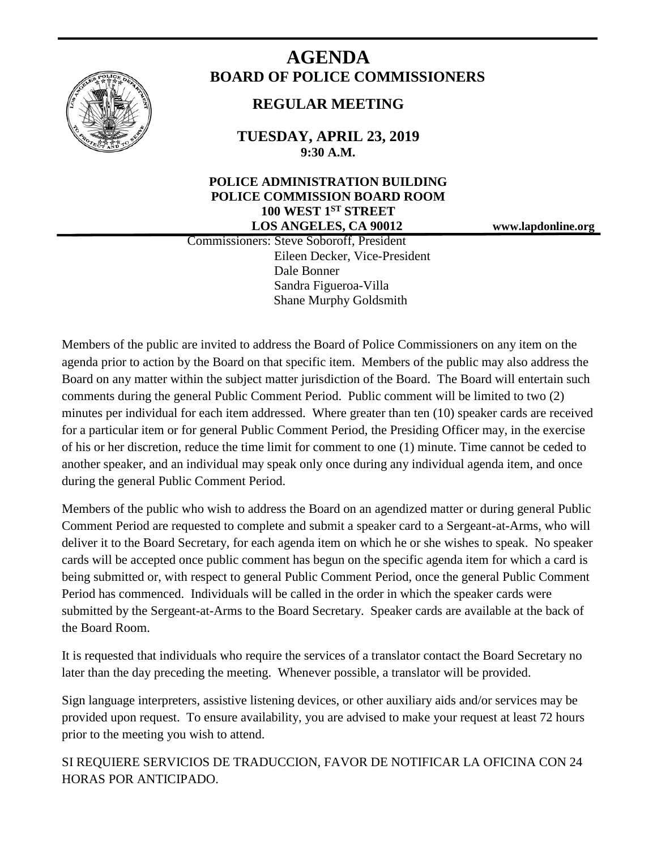

# **AGENDA BOARD OF POLICE COMMISSIONERS**

# **REGULAR MEETING**

**TUESDAY, APRIL 23, 2019 9:30 A.M.**

# **POLICE ADMINISTRATION BUILDING POLICE COMMISSION BOARD ROOM 100 WEST 1ST STREET LOS ANGELES, CA 90012 www.lapdonline.org**

 Commissioners: Steve Soboroff, President Eileen Decker, Vice-President Dale Bonner Sandra Figueroa-Villa Shane Murphy Goldsmith

Members of the public are invited to address the Board of Police Commissioners on any item on the agenda prior to action by the Board on that specific item. Members of the public may also address the Board on any matter within the subject matter jurisdiction of the Board. The Board will entertain such comments during the general Public Comment Period. Public comment will be limited to two (2) minutes per individual for each item addressed. Where greater than ten (10) speaker cards are received for a particular item or for general Public Comment Period, the Presiding Officer may, in the exercise of his or her discretion, reduce the time limit for comment to one (1) minute. Time cannot be ceded to another speaker, and an individual may speak only once during any individual agenda item, and once during the general Public Comment Period.

Members of the public who wish to address the Board on an agendized matter or during general Public Comment Period are requested to complete and submit a speaker card to a Sergeant-at-Arms, who will deliver it to the Board Secretary, for each agenda item on which he or she wishes to speak. No speaker cards will be accepted once public comment has begun on the specific agenda item for which a card is being submitted or, with respect to general Public Comment Period, once the general Public Comment Period has commenced. Individuals will be called in the order in which the speaker cards were submitted by the Sergeant-at-Arms to the Board Secretary. Speaker cards are available at the back of the Board Room.

It is requested that individuals who require the services of a translator contact the Board Secretary no later than the day preceding the meeting. Whenever possible, a translator will be provided.

Sign language interpreters, assistive listening devices, or other auxiliary aids and/or services may be provided upon request. To ensure availability, you are advised to make your request at least 72 hours prior to the meeting you wish to attend.

SI REQUIERE SERVICIOS DE TRADUCCION, FAVOR DE NOTIFICAR LA OFICINA CON 24 HORAS POR ANTICIPADO.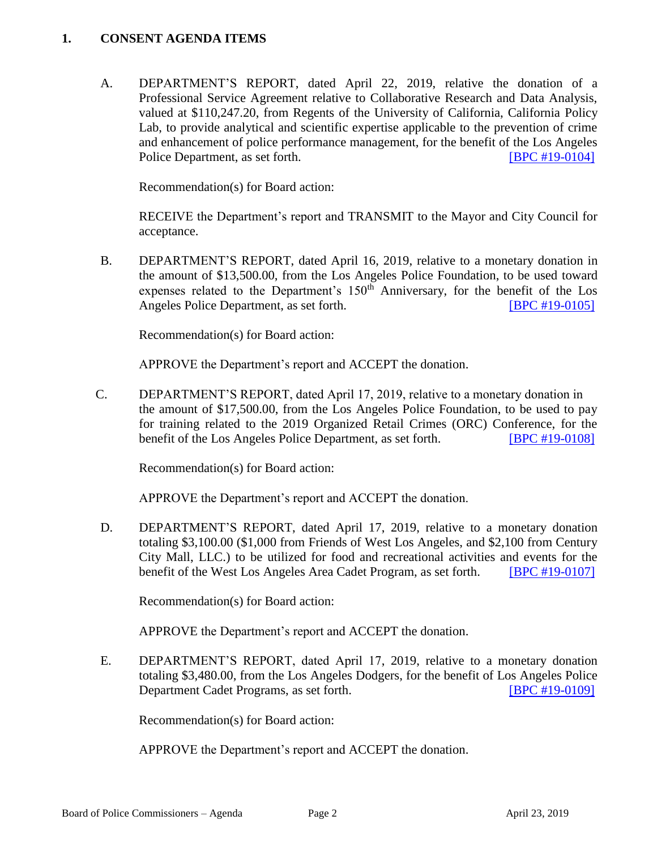#### **1. CONSENT AGENDA ITEMS**

A. DEPARTMENT'S REPORT, dated April 22, 2019, relative the donation of a Professional Service Agreement relative to Collaborative Research and Data Analysis, valued at \$110,247.20, from Regents of the University of California, California Policy Lab, to provide analytical and scientific expertise applicable to the prevention of crime and enhancement of police performance management, for the benefit of the Los Angeles Police Department, as set forth. **IBPC #19-0104** 

Recommendation(s) for Board action:

RECEIVE the Department's report and TRANSMIT to the Mayor and City Council for acceptance.

B. DEPARTMENT'S REPORT, dated April 16, 2019, relative to a monetary donation in the amount of \$13,500.00, from the Los Angeles Police Foundation, to be used toward expenses related to the Department's  $150<sup>th</sup>$  Anniversary, for the benefit of the Los Angeles Police Department, as set forth. **[\[BPC #19-0105\]](http://www.lapdpolicecom.lacity.org/042319/BPC_19-0105.pdf)** 

Recommendation(s) for Board action:

APPROVE the Department's report and ACCEPT the donation.

C. DEPARTMENT'S REPORT, dated April 17, 2019, relative to a monetary donation in the amount of \$17,500.00, from the Los Angeles Police Foundation, to be used to pay for training related to the 2019 Organized Retail Crimes (ORC) Conference, for the benefit of the Los Angeles Police Department, as set forth. [\[BPC #19-0108\]](http://www.lapdpolicecom.lacity.org/042319/BPC_19-0108.pdf)

Recommendation(s) for Board action:

APPROVE the Department's report and ACCEPT the donation.

D. DEPARTMENT'S REPORT, dated April 17, 2019, relative to a monetary donation totaling \$3,100.00 (\$1,000 from Friends of West Los Angeles, and \$2,100 from Century City Mall, LLC.) to be utilized for food and recreational activities and events for the benefit of the West Los Angeles Area Cadet Program, as set forth. [\[BPC #19-0107\]](http://www.lapdpolicecom.lacity.org/042319/BPC_19-0107.pdf)

Recommendation(s) for Board action:

APPROVE the Department's report and ACCEPT the donation.

E. DEPARTMENT'S REPORT, dated April 17, 2019, relative to a monetary donation totaling \$3,480.00, from the Los Angeles Dodgers, for the benefit of Los Angeles Police Department Cadet Programs, as set forth. [\[BPC #19-0109\]](http://www.lapdpolicecom.lacity.org/042319/BPC_19-0109.pdf)

Recommendation(s) for Board action:

APPROVE the Department's report and ACCEPT the donation.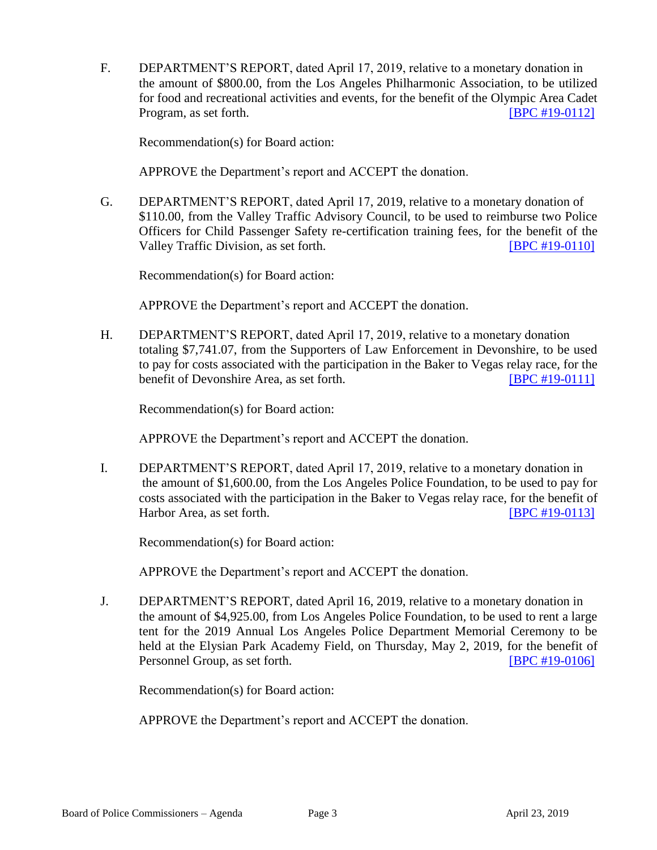F. DEPARTMENT'S REPORT, dated April 17, 2019, relative to a monetary donation in the amount of \$800.00, from the Los Angeles Philharmonic Association, to be utilized for food and recreational activities and events, for the benefit of the Olympic Area Cadet Program, as set forth. **IDPC #19-0112** 

Recommendation(s) for Board action:

APPROVE the Department's report and ACCEPT the donation.

G. DEPARTMENT'S REPORT, dated April 17, 2019, relative to a monetary donation of \$110.00, from the Valley Traffic Advisory Council, to be used to reimburse two Police Officers for Child Passenger Safety re-certification training fees, for the benefit of the Valley Traffic Division, as set forth. **ISPC #19-0110** 

Recommendation(s) for Board action:

APPROVE the Department's report and ACCEPT the donation.

H. DEPARTMENT'S REPORT, dated April 17, 2019, relative to a monetary donation totaling \$7,741.07, from the Supporters of Law Enforcement in Devonshire, to be used to pay for costs associated with the participation in the Baker to Vegas relay race, for the benefit of Devonshire Area, as set forth. **IBPC #19-0111** 

Recommendation(s) for Board action:

APPROVE the Department's report and ACCEPT the donation.

I. DEPARTMENT'S REPORT, dated April 17, 2019, relative to a monetary donation in the amount of \$1,600.00, from the Los Angeles Police Foundation, to be used to pay for costs associated with the participation in the Baker to Vegas relay race, for the benefit of Harbor Area, as set forth. **IDEN** [\[BPC #19-0113\]](http://www.lapdpolicecom.lacity.org/042319/BPC_19-0113.pdf)

Recommendation(s) for Board action:

APPROVE the Department's report and ACCEPT the donation.

J. DEPARTMENT'S REPORT, dated April 16, 2019, relative to a monetary donation in the amount of \$4,925.00, from Los Angeles Police Foundation, to be used to rent a large tent for the 2019 Annual Los Angeles Police Department Memorial Ceremony to be held at the Elysian Park Academy Field, on Thursday, May 2, 2019, for the benefit of Personnel Group, as set forth. [\[BPC #19-0106\]](http://www.lapdpolicecom.lacity.org/042319/BPC_19-0106.pdf)

Recommendation(s) for Board action:

APPROVE the Department's report and ACCEPT the donation.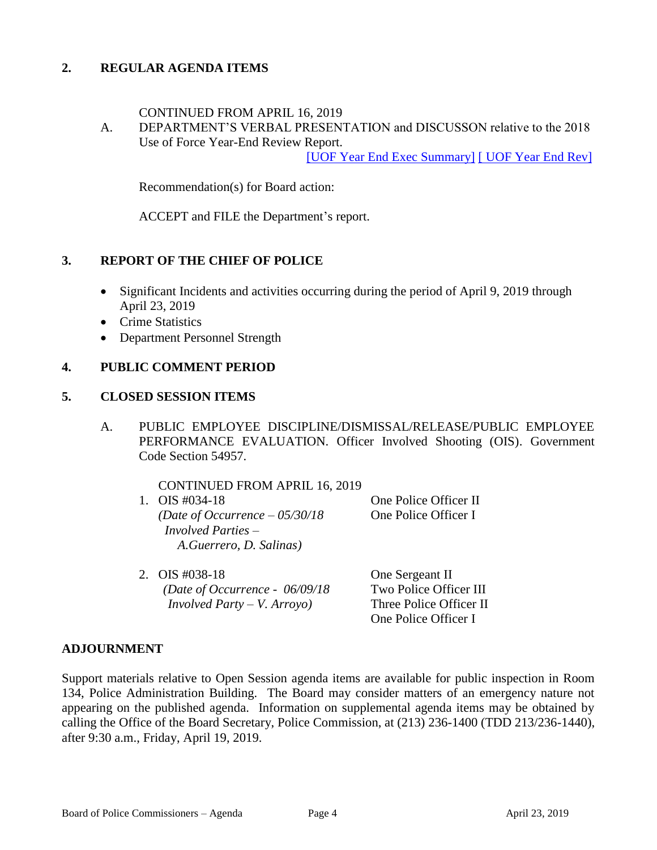# **2. REGULAR AGENDA ITEMS**

#### CONTINUED FROM APRIL 16, 2019

A. DEPARTMENT'S VERBAL PRESENTATION and DISCUSSON relative to the 2018 Use of Force Year-End Review Report.

[UOF Year [End Exec Summary\]](http://assets.lapdonline.org/assets/2018-uof-yr-end-ex-rpt.pdf) [\[ UOF Year End Rev\]](http://assets.lapdonline.org/assets/2018-uof-yr-end-rpt.pdf)

Recommendation(s) for Board action:

ACCEPT and FILE the Department's report.

## **3. REPORT OF THE CHIEF OF POLICE**

- Significant Incidents and activities occurring during the period of April 9, 2019 through April 23, 2019
- Crime Statistics
- Department Personnel Strength

#### **4. PUBLIC COMMENT PERIOD**

#### **5. CLOSED SESSION ITEMS**

A. PUBLIC EMPLOYEE DISCIPLINE/DISMISSAL/RELEASE/PUBLIC EMPLOYEE PERFORMANCE EVALUATION. Officer Involved Shooting (OIS). Government Code Section 54957.

| <b>CONTINUED FROM APRIL 16, 2019</b>   |                       |
|----------------------------------------|-----------------------|
| 1. OIS $\#034-18$                      | One Police Officer II |
| (Date of Occurrence $-05/30/18$        | One Police Officer I  |
| <i>Involved Parties <math>-</math></i> |                       |
| A.Guerrero, D. Salinas)                |                       |
|                                        |                       |

2. OIS #038-18 One Sergeant II *(Date of Occurrence - 06/09/18* Two Police Officer III *Involved Party – V. Arroyo)* Three Police Officer II

One Police Officer I

## **ADJOURNMENT**

Support materials relative to Open Session agenda items are available for public inspection in Room 134, Police Administration Building. The Board may consider matters of an emergency nature not appearing on the published agenda. Information on supplemental agenda items may be obtained by calling the Office of the Board Secretary, Police Commission, at (213) 236-1400 (TDD 213/236-1440), after 9:30 a.m., Friday, April 19, 2019.